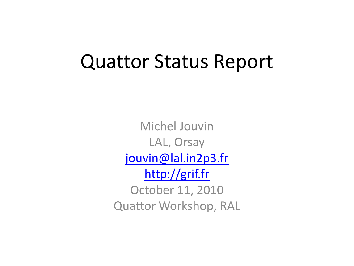#### Quattor Status Report

Michel Jouvin LAL, Orsay [jouvin@lal.in2p3.fr](mailto:jouvin@lal.in2p3.fr) [http://grif.fr](http://grif.fr/) October 11, 2010 Quattor Workshop, RAL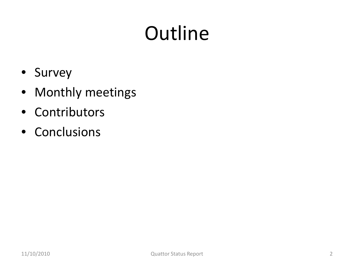## **Outline**

- Survey
- Monthly meetings
- Contributors
- Conclusions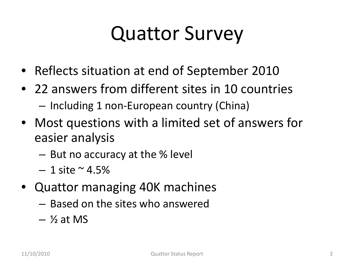#### Quattor Survey

- Reflects situation at end of September 2010
- 22 answers from different sites in 10 countries – Including 1 non-European country (China)
- Most questions with a limited set of answers for easier analysis
	- But no accuracy at the % level
	- $-1$  site  $\sim$  4.5%
- Quattor managing 40K machines
	- Based on the sites who answered
	- $\frac{1}{2}$  at MS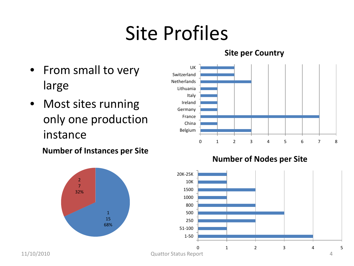## Site Profiles

**Site per Country**

- From small to very large
- Most sites running only one production instance

**Number of Instances per Site**





0 1 2 3 4 5 1-50 51-100 250 500 800 1000 1500 10K 20K-25K 11/10/2010 Quattor Status Report 4

**Number of Nodes per Site**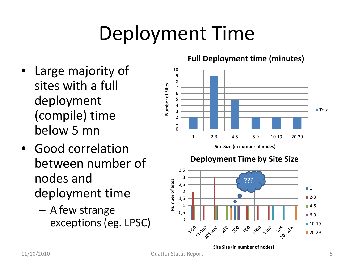## Deployment Time

- Large majority of sites with a full deployment (compile) time below 5 mn
- Good correlation between number of nodes and deployment time
	- A few strange exceptions (eg. LPSC)

#### **Full Deployment time (minutes)**



**Site Size (in number of nodes)**



**Site Size (in number of nodes)**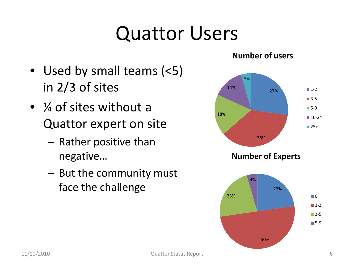#### Quattor Users

- Used by small teams (<5) in 2/3 of sites
- $\frac{1}{4}$  of sites without a Quattor expert on site
	- Rather positive than negative…
	- But the community must face the challenge

#### **Number of users**

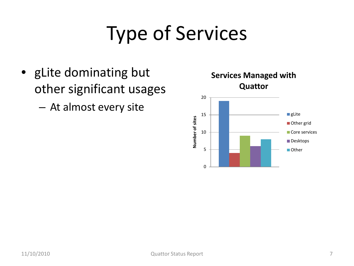## Type of Services

- gLite dominating but other significant usages
	- At almost every site



**Services Managed with**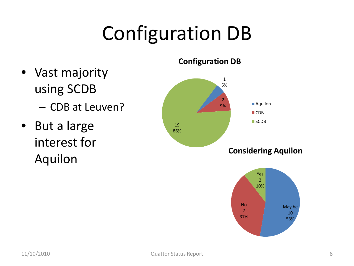## Configuration DB

- Vast majority using SCDB – CDB at Leuven?
- But a large interest for Aquilon

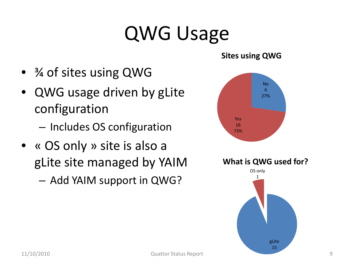#### QWG Usage

- $\frac{3}{4}$  of sites using QWG
- QWG usage driven by gLite configuration
	- Includes OS configuration
- « OS only » site is also a gLite site managed by YAIM

– Add YAIM support in QWG?



**Sites using QWG**

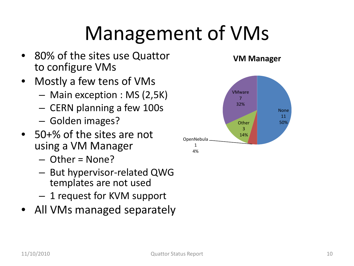#### Management of VMs

- 80% of the sites use Quattor to configure VMs
- Mostly a few tens of VMs
	- Main exception : MS (2,5K)
	- CERN planning a few 100s
	- Golden images?
- 50+% of the sites are not using a VM Manager
	- $-$  Other = None?
	- But hypervisor-related QWG templates are not used
	- 1 request for KVM support
- All VMs managed separately



**VM Manager**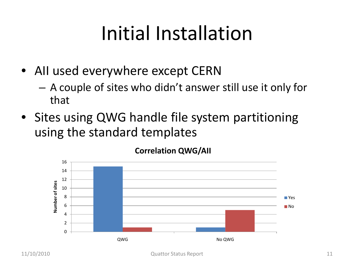#### Initial Installation

- All used everywhere except CERN
	- A couple of sites who didn't answer still use it only for that
- Sites using QWG handle file system partitioning using the standard templates



**Correlation QWG/AII**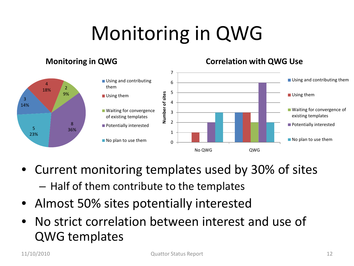# Monitoring in QWG

#### **Monitoring in QWG Correlation with QWG Use** 7 ■ Using and contributing them **Using and contributing** 6 4 them  $18\%$   $2$ 5 Number of sites 9% **Number of sites Using them Using them** 3 4 14% ■ Waiting for convergence of ■ Waiting for convergence 3 existing templates of existing templates  $\overline{2}$ 8 **Potentially interested Potentially interested**  $5 \t 36%$ 1 23% ■ No plan to use them No plan to use them  $\Omega$ No QWG QWG

- Current monitoring templates used by 30% of sites – Half of them contribute to the templates
- Almost 50% sites potentially interested
- No strict correlation between interest and use of QWG templates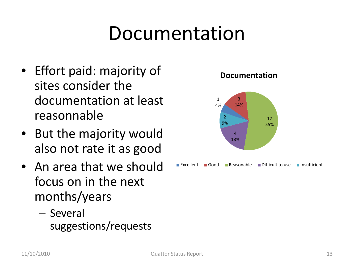#### Documentation

- Effort paid: majority of sites consider the documentation at least reasonnable
- But the majority would also not rate it as good
- An area that we should focus on in the next months/years
	- Several suggestions/requests

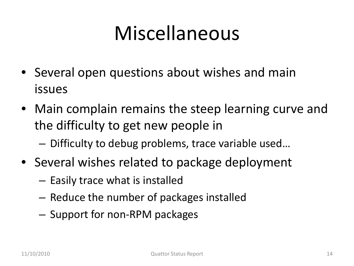#### Miscellaneous

- Several open questions about wishes and main issues
- Main complain remains the steep learning curve and the difficulty to get new people in
	- Difficulty to debug problems, trace variable used…
- Several wishes related to package deployment
	- Easily trace what is installed
	- Reduce the number of packages installed
	- Support for non-RPM packages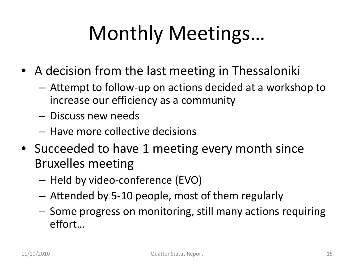# Monthly Meetings…

- A decision from the last meeting in Thessaloniki
	- Attempt to follow-up on actions decided at a workshop to increase our efficiency as a community
	- Discuss new needs
	- Have more collective decisions
- Succeeded to have 1 meeting every month since Bruxelles meeting
	- Held by video-conference (EVO)
	- Attended by 5-10 people, most of them regularly
	- Some progress on monitoring, still many actions requiring effort…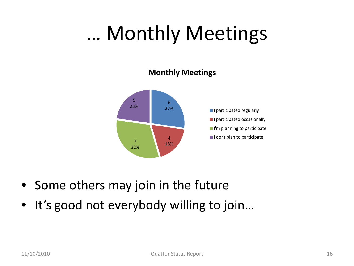#### … Monthly Meetings

#### **Monthly Meetings**



- Some others may join in the future
- It's good not everybody willing to join...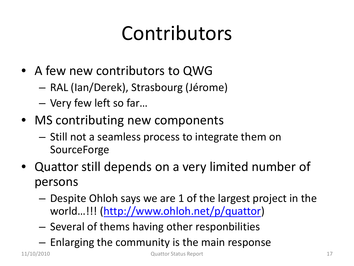#### Contributors

- A few new contributors to QWG
	- RAL (Ian/Derek), Strasbourg (Jérome)
	- Very few left so far…
- MS contributing new components
	- Still not a seamless process to integrate them on **SourceForge**
- Quattor still depends on a very limited number of persons
	- Despite Ohloh says we are 1 of the largest project in the world…!!! ([http://www.ohloh.net/p/quattor\)](http://www.ohloh.net/p/quattor)
	- Several of thems having other responbilities
	- Enlarging the community is the main response